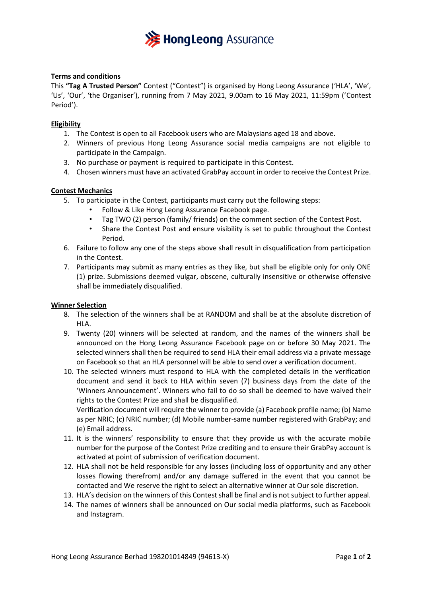

# **Terms and conditions**

This **"Tag A Trusted Person"** Contest ("Contest") is organised by Hong Leong Assurance ('HLA', 'We', 'Us', 'Our', 'the Organiser'), running from 7 May 2021, 9.00am to 16 May 2021, 11:59pm ('Contest Period').

### **Eligibility**

- 1. The Contest is open to all Facebook users who are Malaysians aged 18 and above.
- 2. Winners of previous Hong Leong Assurance social media campaigns are not eligible to participate in the Campaign.
- 3. No purchase or payment is required to participate in this Contest.
- 4. Chosen winners must have an activated GrabPay account in order to receive the Contest Prize.

### **Contest Mechanics**

- 5. To participate in the Contest, participants must carry out the following steps:
	- Follow & Like Hong Leong Assurance Facebook page.
	- Tag TWO (2) person (family/ friends) on the comment section of the Contest Post.
	- Share the Contest Post and ensure visibility is set to public throughout the Contest Period.
- 6. Failure to follow any one of the steps above shall result in disqualification from participation in the Contest.
- 7. Participants may submit as many entries as they like, but shall be eligible only for only ONE (1) prize. Submissions deemed vulgar, obscene, culturally insensitive or otherwise offensive shall be immediately disqualified.

#### **Winner Selection**

- 8. The selection of the winners shall be at RANDOM and shall be at the absolute discretion of HL<sub>A</sub>
- 9. Twenty (20) winners will be selected at random, and the names of the winners shall be announced on the Hong Leong Assurance Facebook page on or before 30 May 2021. The selected winners shall then be required to send HLA their email address via a private message on Facebook so that an HLA personnel will be able to send over a verification document.
- 10. The selected winners must respond to HLA with the completed details in the verification document and send it back to HLA within seven (7) business days from the date of the 'Winners Announcement'. Winners who fail to do so shall be deemed to have waived their rights to the Contest Prize and shall be disqualified.

Verification document will require the winner to provide (a) Facebook profile name; (b) Name as per NRIC; (c) NRIC number; (d) Mobile number-same number registered with GrabPay; and (e) Email address.

- 11. It is the winners' responsibility to ensure that they provide us with the accurate mobile number for the purpose of the Contest Prize crediting and to ensure their GrabPay account is activated at point of submission of verification document.
- 12. HLA shall not be held responsible for any losses (including loss of opportunity and any other losses flowing therefrom) and/or any damage suffered in the event that you cannot be contacted and We reserve the right to select an alternative winner at Our sole discretion.
- 13. HLA's decision on the winners of this Contest shall be final and is not subject to further appeal.
- 14. The names of winners shall be announced on Our social media platforms, such as Facebook and Instagram.